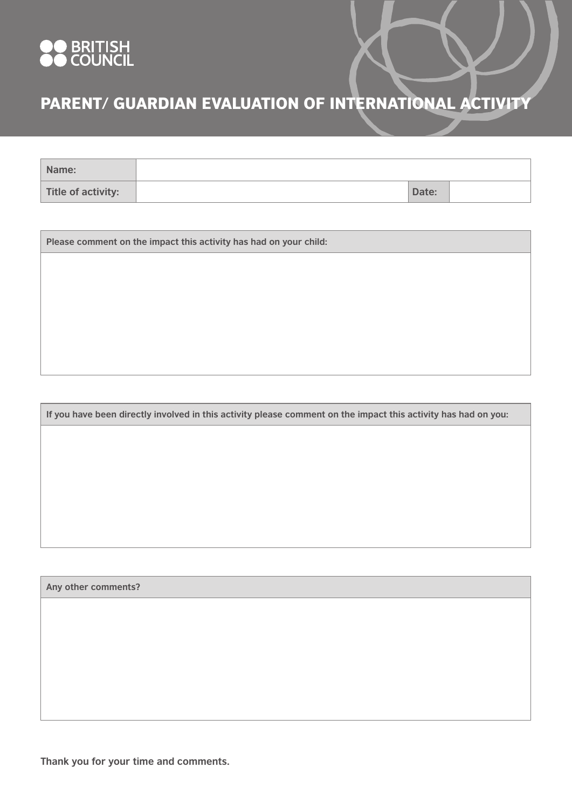

## PARENT/ GUARDIAN EVALUATION OF INTERNATIONAL ACTIVITY

| Name:              |       |  |
|--------------------|-------|--|
| Title of activity: | Date: |  |

**Please comment on the impact this activity has had on your child:**

**If you have been directly involved in this activity please comment on the impact this activity has had on you:**

**Any other comments?**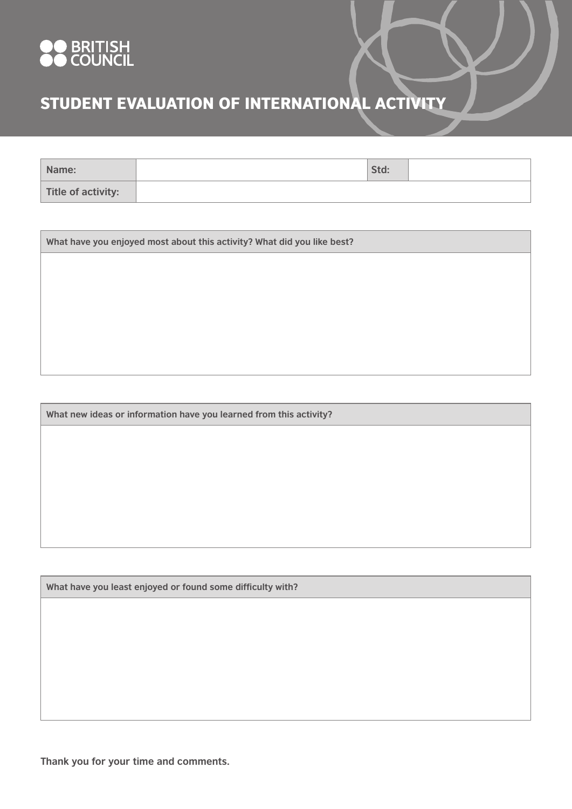

## STUDENT EVALUATION OF INTERNATIONAL ACTIVITY

| Name:              | Std: |  |
|--------------------|------|--|
| Title of activity: |      |  |

**What have you enjoyed most about this activity? What did you like best?**

**What new ideas or information have you learned from this activity?**

**What have you least enjoyed or found some difficulty with?**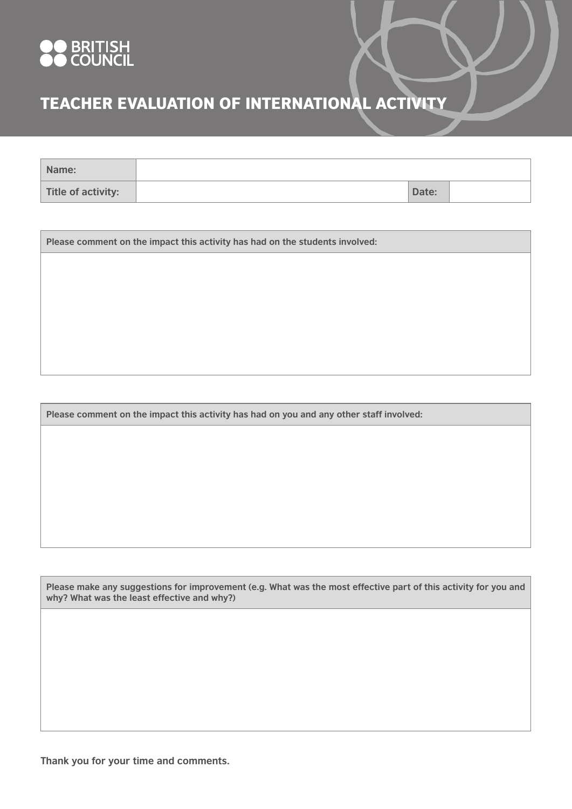

## TEACHER EVALUATION OF INTERNATIONAL ACTIVITY

| Name:              |       |  |
|--------------------|-------|--|
| Title of activity: | Date: |  |

**Please comment on the impact this activity has had on the students involved:**

**Please comment on the impact this activity has had on you and any other staff involved:**

**Please make any suggestions for improvement (e.g. What was the most effective part of this activity for you and why? What was the least effective and why?)**